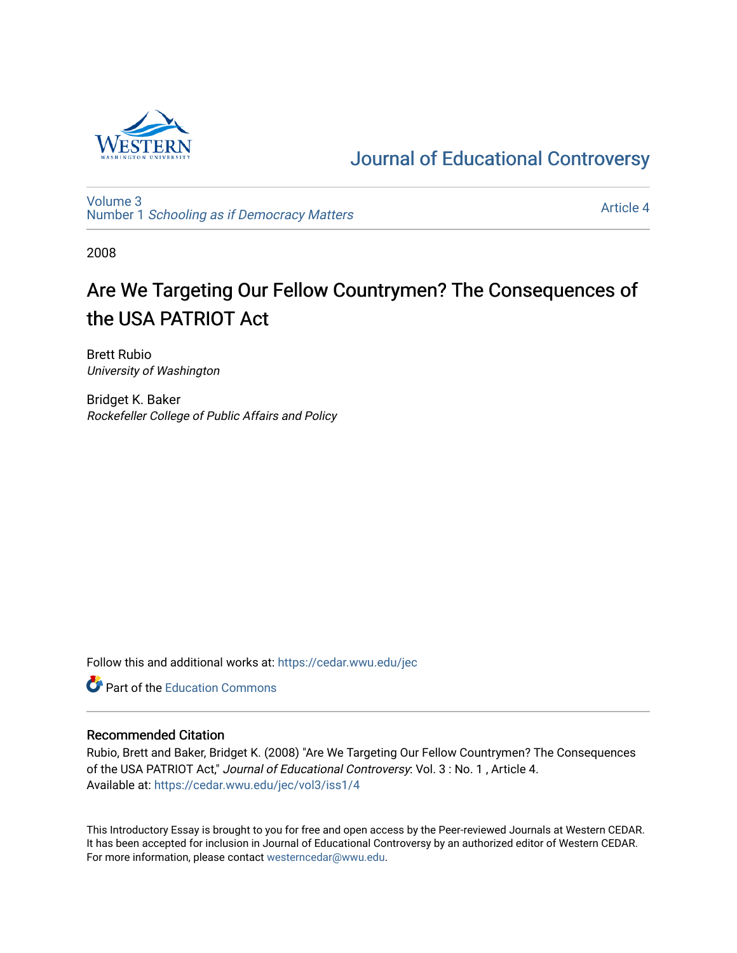

## [Journal of Educational Controversy](https://cedar.wwu.edu/jec)

[Volume 3](https://cedar.wwu.edu/jec/vol3) Number 1 [Schooling as if Democracy Matters](https://cedar.wwu.edu/jec/vol3/iss1) 

[Article 4](https://cedar.wwu.edu/jec/vol3/iss1/4) 

2008

# Are We Targeting Our Fellow Countrymen? The Consequences of the USA PATRIOT Act

Brett Rubio University of Washington

Bridget K. Baker Rockefeller College of Public Affairs and Policy

Follow this and additional works at: [https://cedar.wwu.edu/jec](https://cedar.wwu.edu/jec?utm_source=cedar.wwu.edu%2Fjec%2Fvol3%2Fiss1%2F4&utm_medium=PDF&utm_campaign=PDFCoverPages) 



#### Recommended Citation

Rubio, Brett and Baker, Bridget K. (2008) "Are We Targeting Our Fellow Countrymen? The Consequences of the USA PATRIOT Act," Journal of Educational Controversy: Vol. 3 : No. 1 , Article 4. Available at: [https://cedar.wwu.edu/jec/vol3/iss1/4](https://cedar.wwu.edu/jec/vol3/iss1/4?utm_source=cedar.wwu.edu%2Fjec%2Fvol3%2Fiss1%2F4&utm_medium=PDF&utm_campaign=PDFCoverPages)

This Introductory Essay is brought to you for free and open access by the Peer-reviewed Journals at Western CEDAR. It has been accepted for inclusion in Journal of Educational Controversy by an authorized editor of Western CEDAR. For more information, please contact [westerncedar@wwu.edu.](mailto:westerncedar@wwu.edu)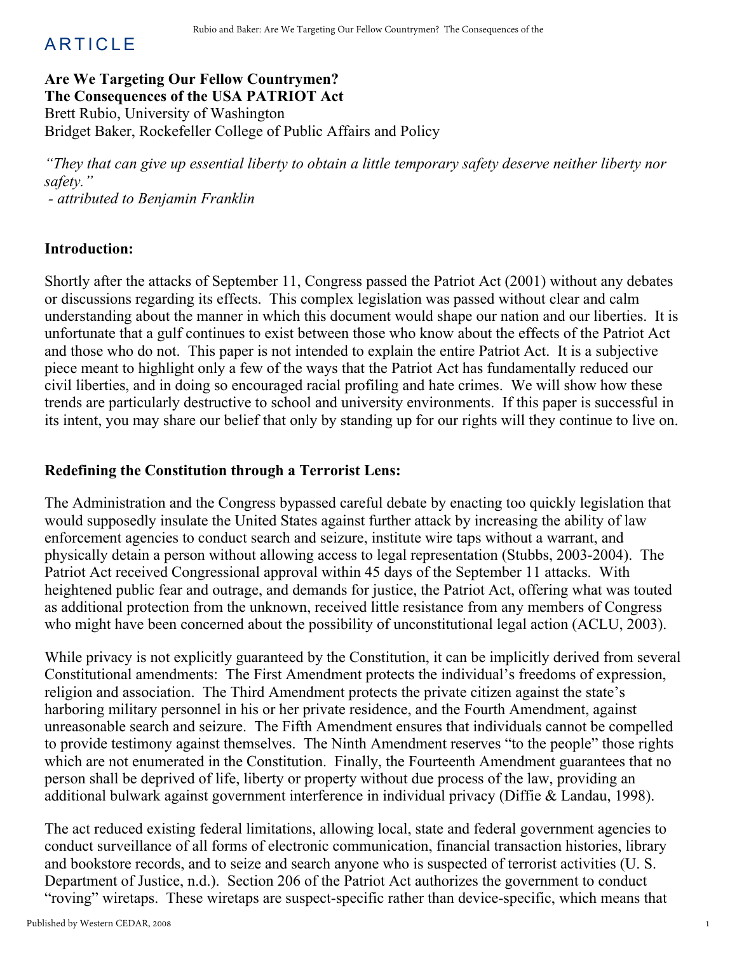## **ARTICLE**

### Are We Targeting Our Fellow Countrymen? The Consequences of the USA PATRIOT Act Brett Rubio, University of Washington Bridget Baker, Rockefeller College of Public Affairs and Policy

"They that can give up essential liberty to obtain a little temporary safety deserve neither liberty nor safety."

attributed to Benjamin Franklin

#### Introduction:

Shortly after the attacks of September 11, Congress passed the Patriot Act (2001) without any debates or discussions regarding its effects. This complex legislation was passed without clear and calm understanding about the manner in which this document would shape our nation and our liberties. It is unfortunate that a gulf continues to exist between those who know about the effects of the Patriot Act and those who do not. This paper is not intended to explain the entire Patriot Act. It is a subjective piece meant to highlight only a few of the ways that the Patriot Act has fundamentally reduced our civil liberties, and in doing so encouraged racial profiling and hate crimes. We will show how these trends are particularly destructive to school and university environments. If this paper is successful in its intent, you may share our belief that only by standing up for our rights will they continue to live on.

#### Redefining the Constitution through a Terrorist Lens:

The Administration and the Congress bypassed careful debate by enacting too quickly legislation that would supposedly insulate the United States against further attack by increasing the ability of law enforcement agencies to conduct search and seizure, institute wire taps without a warrant, and physically detain a person without allowing access to legal representation (Stubbs, 2003-2004). The Patriot Act received Congressional approval within 45 days of the September 11 attacks. With heightened public fear and outrage, and demands for justice, the Patriot Act, offering what was touted as additional protection from the unknown, received little resistance from any members of Congress who might have been concerned about the possibility of unconstitutional legal action (ACLU, 2003).

While privacy is not explicitly guaranteed by the Constitution, it can be implicitly derived from several Constitutional amendments: The First Amendment protects the individual's freedoms of expression, religion and association. The Third Amendment protects the private citizen against the state's harboring military personnel in his or her private residence, and the Fourth Amendment, against unreasonable search and seizure. The Fifth Amendment ensures that individuals cannot be compelled to provide testimony against themselves. The Ninth Amendment reserves "to the people" those rights which are not enumerated in the Constitution. Finally, the Fourteenth Amendment guarantees that no person shall be deprived of life, liberty or property without due process of the law, providing an additional bulwark against government interference in individual privacy (Diffie & Landau, 1998).

The act reduced existing federal limitations, allowing local, state and federal government agencies to conduct surveillance of all forms of electronic communication, financial transaction histories, library and bookstore records, and to seize and search anyone who is suspected of terrorist activities (U. S. Department of Justice, n.d.). Section 206 of the Patriot Act authorizes the government to conduct "roving" wiretaps. These wiretaps are suspect-specific rather than device-specific, which means that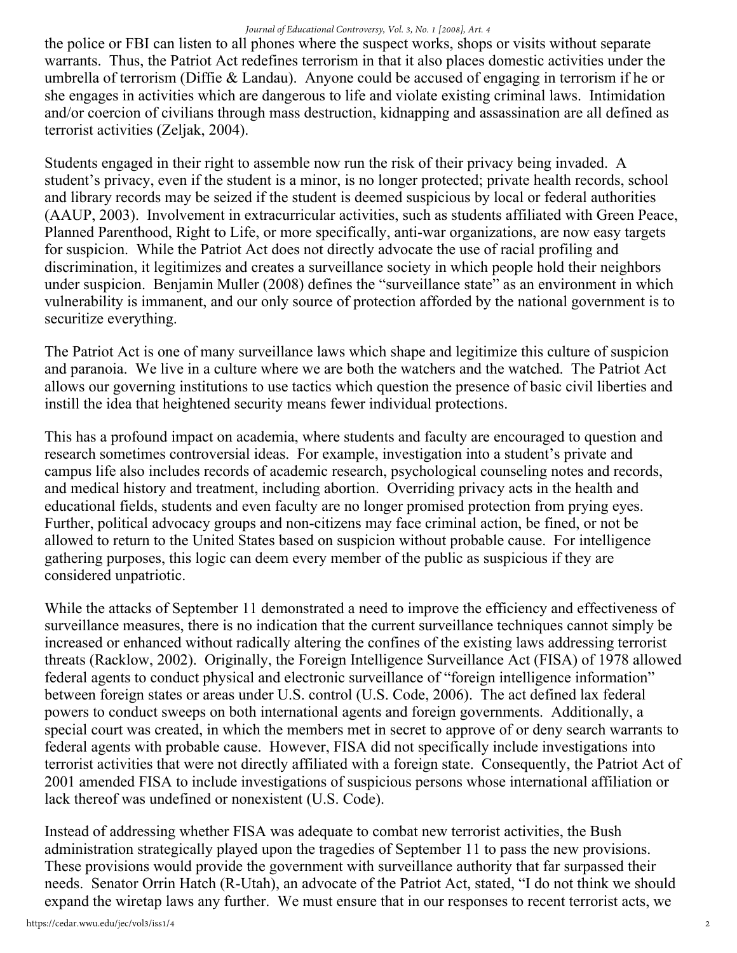the police or FBI can listen to all phones where the suspect works, shops or visits without separate warrants. Thus, the Patriot Act redefines terrorism in that it also places domestic activities under the umbrella of terrorism (Diffie & Landau). Anyone could be accused of engaging in terrorism if he or she engages in activities which are dangerous to life and violate existing criminal laws. Intimidation and/or coercion of civilians through mass destruction, kidnapping and assassination are all defined as terrorist activities (Zeljak, 2004).

Students engaged in their right to assemble now run the risk of their privacy being invaded. A student's privacy, even if the student is a minor, is no longer protected; private health records, school and library records may be seized if the student is deemed suspicious by local or federal authorities (AAUP, 2003). Involvement in extracurricular activities, such as students affiliated with Green Peace, Planned Parenthood, Right to Life, or more specifically, anti-war organizations, are now easy targets for suspicion. While the Patriot Act does not directly advocate the use of racial profiling and discrimination, it legitimizes and creates a surveillance society in which people hold their neighbors under suspicion. Benjamin Muller (2008) defines the "surveillance state" as an environment in which vulnerability is immanent, and our only source of protection afforded by the national government is to securitize everything.

The Patriot Act is one of many surveillance laws which shape and legitimize this culture of suspicion and paranoia. We live in a culture where we are both the watchers and the watched. The Patriot Act allows our governing institutions to use tactics which question the presence of basic civil liberties and instill the idea that heightened security means fewer individual protections.

This has a profound impact on academia, where students and faculty are encouraged to question and research sometimes controversial ideas. For example, investigation into a student's private and campus life also includes records of academic research, psychological counseling notes and records, and medical history and treatment, including abortion. Overriding privacy acts in the health and educational fields, students and even faculty are no longer promised protection from prying eyes. Further, political advocacy groups and non-citizens may face criminal action, be fined, or not be allowed to return to the United States based on suspicion without probable cause. For intelligence gathering purposes, this logic can deem every member of the public as suspicious if they are considered unpatriotic.

While the attacks of September 11 demonstrated a need to improve the efficiency and effectiveness of surveillance measures, there is no indication that the current surveillance techniques cannot simply be increased or enhanced without radically altering the confines of the existing laws addressing terrorist threats (Racklow, 2002). Originally, the Foreign Intelligence Surveillance Act (FISA) of 1978 allowed federal agents to conduct physical and electronic surveillance of "foreign intelligence information" between foreign states or areas under U.S. control (U.S. Code, 2006). The act defined lax federal powers to conduct sweeps on both international agents and foreign governments. Additionally, a special court was created, in which the members met in secret to approve of or deny search warrants to federal agents with probable cause. However, FISA did not specifically include investigations into terrorist activities that were not directly affiliated with a foreign state. Consequently, the Patriot Act of 2001 amended FISA to include investigations of suspicious persons whose international affiliation or lack thereof was undefined or nonexistent (U.S. Code).

Instead of addressing whether FISA was adequate to combat new terrorist activities, the Bush administration strategically played upon the tragedies of September 11 to pass the new provisions. These provisions would provide the government with surveillance authority that far surpassed their needs. Senator Orrin Hatch (R-Utah), an advocate of the Patriot Act, stated, "I do not think we should expand the wiretap laws any further. We must ensure that in our responses to recent terrorist acts, we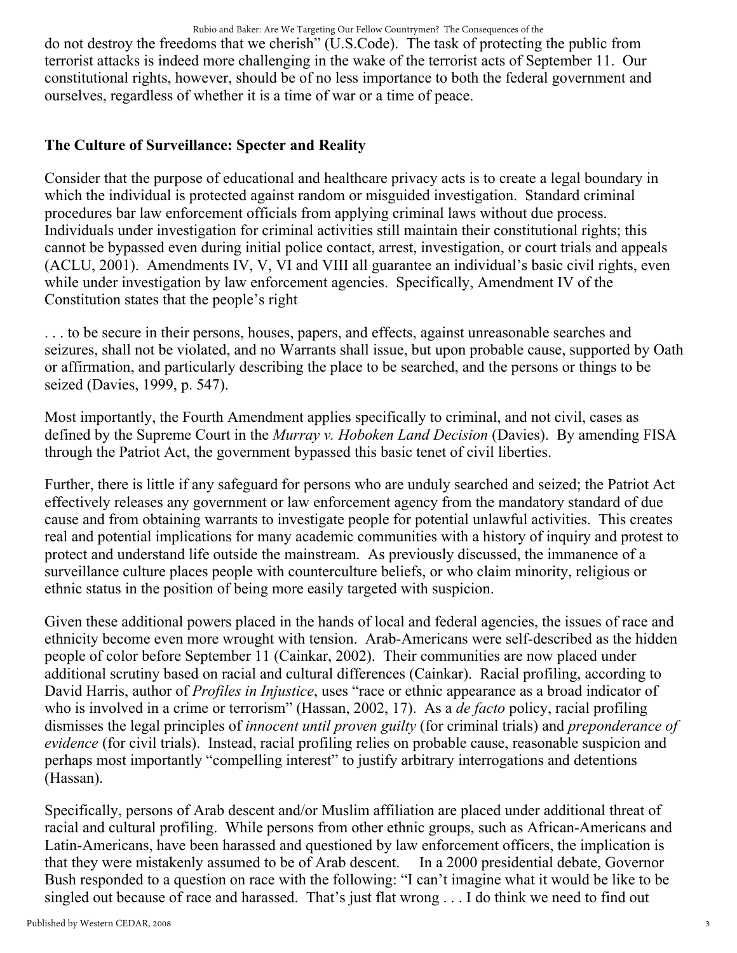do not destroy the freedoms that we cherish" (U.S.Code). The task of protecting the public from terrorist attacks is indeed more challenging in the wake of the terrorist acts of September 11. Our constitutional rights, however, should be of no less importance to both the federal government and ourselves, regardless of whether it is a time of war or a time of peace.

### The Culture of Surveillance: Specter and Reality

Consider that the purpose of educational and healthcare privacy acts is to create a legal boundary in which the individual is protected against random or misguided investigation. Standard criminal procedures bar law enforcement officials from applying criminal laws without due process. Individuals under investigation for criminal activities still maintain their constitutional rights; this cannot be bypassed even during initial police contact, arrest, investigation, or court trials and appeals (ACLU, 2001). Amendments IV, V, VI and VIII all guarantee an individual's basic civil rights, even while under investigation by law enforcement agencies. Specifically, Amendment IV of the Constitution states that the people's right

. . . to be secure in their persons, houses, papers, and effects, against unreasonable searches and seizures, shall not be violated, and no Warrants shall issue, but upon probable cause, supported by Oath or affirmation, and particularly describing the place to be searched, and the persons or things to be seized (Davies, 1999, p. 547).

Most importantly, the Fourth Amendment applies specifically to criminal, and not civil, cases as defined by the Supreme Court in the *Murray v. Hoboken Land Decision* (Davies). By amending FISA through the Patriot Act, the government bypassed this basic tenet of civil liberties.

Further, there is little if any safeguard for persons who are unduly searched and seized; the Patriot Act effectively releases any government or law enforcement agency from the mandatory standard of due cause and from obtaining warrants to investigate people for potential unlawful activities. This creates real and potential implications for many academic communities with a history of inquiry and protest to protect and understand life outside the mainstream. As previously discussed, the immanence of a surveillance culture places people with counterculture beliefs, or who claim minority, religious or ethnic status in the position of being more easily targeted with suspicion.

Given these additional powers placed in the hands of local and federal agencies, the issues of race and ethnicity become even more wrought with tension. Arab-Americans were self-described as the hidden people of color before September 11 (Cainkar, 2002). Their communities are now placed under additional scrutiny based on racial and cultural differences (Cainkar). Racial profiling, according to David Harris, author of *Profiles in Injustice*, uses "race or ethnic appearance as a broad indicator of who is involved in a crime or terrorism" (Hassan, 2002, 17). As a *de facto* policy, racial profiling dismisses the legal principles of innocent until proven guilty (for criminal trials) and preponderance of evidence (for civil trials). Instead, racial profiling relies on probable cause, reasonable suspicion and perhaps most importantly "compelling interest" to justify arbitrary interrogations and detentions (Hassan).

Specifically, persons of Arab descent and/or Muslim affiliation are placed under additional threat of racial and cultural profiling. While persons from other ethnic groups, such as African-Americans and Latin-Americans, have been harassed and questioned by law enforcement officers, the implication is that they were mistakenly assumed to be of Arab descent. In a 2000 presidential debate, Governor Bush responded to a question on race with the following: "I can't imagine what it would be like to be singled out because of race and harassed. That's just flat wrong . . . I do think we need to find out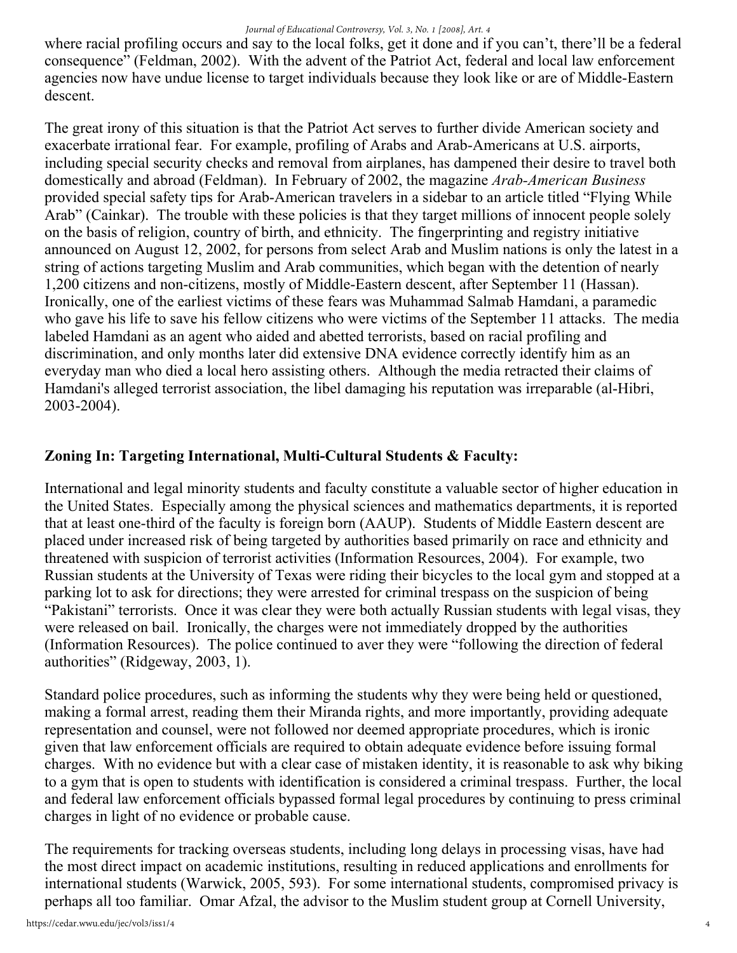where racial profiling occurs and say to the local folks, get it done and if you can't, there'll be a federal consequence" (Feldman, 2002). With the advent of the Patriot Act, federal and local law enforcement agencies now have undue license to target individuals because they look like or are of Middle-Eastern descent.

The great irony of this situation is that the Patriot Act serves to further divide American society and exacerbate irrational fear. For example, profiling of Arabs and Arab-Americans at U.S. airports, including special security checks and removal from airplanes, has dampened their desire to travel both domestically and abroad (Feldman). In February of 2002, the magazine *Arab-American Business* provided special safety tips for Arab-American travelers in a sidebar to an article titled "Flying While" Arab" (Cainkar). The trouble with these policies is that they target millions of innocent people solely on the basis of religion, country of birth, and ethnicity. The fingerprinting and registry initiative announced on August 12, 2002, for persons from select Arab and Muslim nations is only the latest in a string of actions targeting Muslim and Arab communities, which began with the detention of nearly 1,200 citizens and non-citizens, mostly of Middle-Eastern descent, after September 11 (Hassan). Ironically, one of the earliest victims of these fears was Muhammad Salmab Hamdani, a paramedic who gave his life to save his fellow citizens who were victims of the September 11 attacks. The media labeled Hamdani as an agent who aided and abetted terrorists, based on racial profiling and discrimination, and only months later did extensive DNA evidence correctly identify him as an everyday man who died a local hero assisting others. Although the media retracted their claims of Hamdani's alleged terrorist association, the libel damaging his reputation was irreparable (al-Hibri, 2003-2004).

## Zoning In: Targeting International, Multi-Cultural Students & Faculty:

International and legal minority students and faculty constitute a valuable sector of higher education in the United States. Especially among the physical sciences and mathematics departments, it is reported that at least one-third of the faculty is foreign born (AAUP). Students of Middle Eastern descent are placed under increased risk of being targeted by authorities based primarily on race and ethnicity and threatened with suspicion of terrorist activities (Information Resources, 2004). For example, two Russian students at the University of Texas were riding their bicycles to the local gym and stopped at a parking lot to ask for directions; they were arrested for criminal trespass on the suspicion of being "Pakistani" terrorists. Once it was clear they were both actually Russian students with legal visas, they were released on bail. Ironically, the charges were not immediately dropped by the authorities (Information Resources). The police continued to aver they were "following the direction of federal authorities" (Ridgeway, 2003, 1).

Standard police procedures, such as informing the students why they were being held or questioned, making a formal arrest, reading them their Miranda rights, and more importantly, providing adequate representation and counsel, were not followed nor deemed appropriate procedures, which is ironic given that law enforcement officials are required to obtain adequate evidence before issuing formal charges. With no evidence but with a clear case of mistaken identity, it is reasonable to ask why biking to a gym that is open to students with identification is considered a criminal trespass. Further, the local and federal law enforcement officials bypassed formal legal procedures by continuing to press criminal charges in light of no evidence or probable cause.

The requirements for tracking overseas students, including long delays in processing visas, have had the most direct impact on academic institutions, resulting in reduced applications and enrollments for international students (Warwick, 2005, 593). For some international students, compromised privacy is perhaps all too familiar. Omar Afzal, the advisor to the Muslim student group at Cornell University,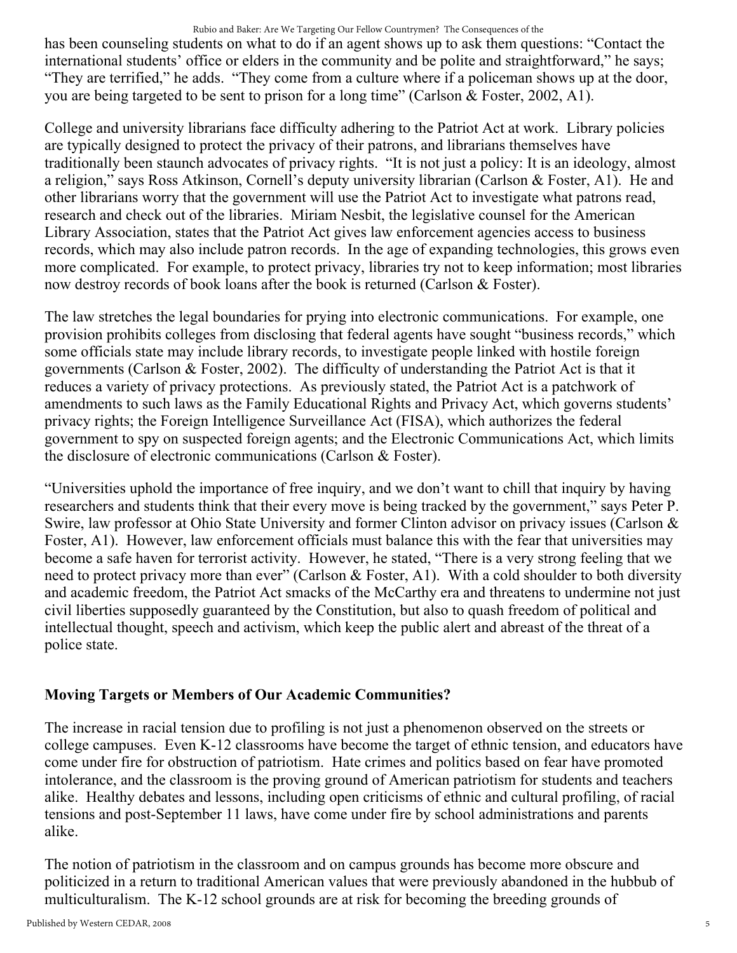#### Rubio and Baker: Are We Targeting Our Fellow Countrymen? The Consequences of the

has been counseling students on what to do if an agent shows up to ask them questions: "Contact the international students' office or elders in the community and be polite and straightforward," he says; "They are terrified," he adds. "They come from a culture where if a policeman shows up at the door, you are being targeted to be sent to prison for a long time" (Carlson & Foster, 2002, A1).

College and university librarians face difficulty adhering to the Patriot Act at work. Library policies are typically designed to protect the privacy of their patrons, and librarians themselves have traditionally been staunch advocates of privacy rights. "It is not just a policy: It is an ideology, almost a religion," says Ross Atkinson, Cornell's deputy university librarian (Carlson & Foster, A1). He and other librarians worry that the government will use the Patriot Act to investigate what patrons read, research and check out of the libraries. Miriam Nesbit, the legislative counsel for the American Library Association, states that the Patriot Act gives law enforcement agencies access to business records, which may also include patron records. In the age of expanding technologies, this grows even more complicated. For example, to protect privacy, libraries try not to keep information; most libraries now destroy records of book loans after the book is returned (Carlson & Foster).

The law stretches the legal boundaries for prying into electronic communications. For example, one provision prohibits colleges from disclosing that federal agents have sought "business records," which some officials state may include library records, to investigate people linked with hostile foreign governments (Carlson & Foster, 2002). The difficulty of understanding the Patriot Act is that it reduces a variety of privacy protections. As previously stated, the Patriot Act is a patchwork of amendments to such laws as the Family Educational Rights and Privacy Act, which governs students' privacy rights; the Foreign Intelligence Surveillance Act (FISA), which authorizes the federal government to spy on suspected foreign agents; and the Electronic Communications Act, which limits the disclosure of electronic communications (Carlson & Foster).

"Universities uphold the importance of free inquiry, and we don't want to chill that inquiry by having researchers and students think that their every move is being tracked by the government," says Peter P. Swire, law professor at Ohio State University and former Clinton advisor on privacy issues (Carlson & Foster, A1). However, law enforcement officials must balance this with the fear that universities may become a safe haven for terrorist activity. However, he stated, "There is a very strong feeling that we need to protect privacy more than ever" (Carlson & Foster, A1). With a cold shoulder to both diversity and academic freedom, the Patriot Act smacks of the McCarthy era and threatens to undermine not just civil liberties supposedly guaranteed by the Constitution, but also to quash freedom of political and intellectual thought, speech and activism, which keep the public alert and abreast of the threat of a police state.

### Moving Targets or Members of Our Academic Communities?

The increase in racial tension due to profiling is not just a phenomenon observed on the streets or college campuses. Even K-12 classrooms have become the target of ethnic tension, and educators have come under fire for obstruction of patriotism. Hate crimes and politics based on fear have promoted intolerance, and the classroom is the proving ground of American patriotism for students and teachers alike. Healthy debates and lessons, including open criticisms of ethnic and cultural profiling, of racial tensions and post-September 11 laws, have come under fire by school administrations and parents alike.

The notion of patriotism in the classroom and on campus grounds has become more obscure and politicized in a return to traditional American values that were previously abandoned in the hubbub of multiculturalism. The K-12 school grounds are at risk for becoming the breeding grounds of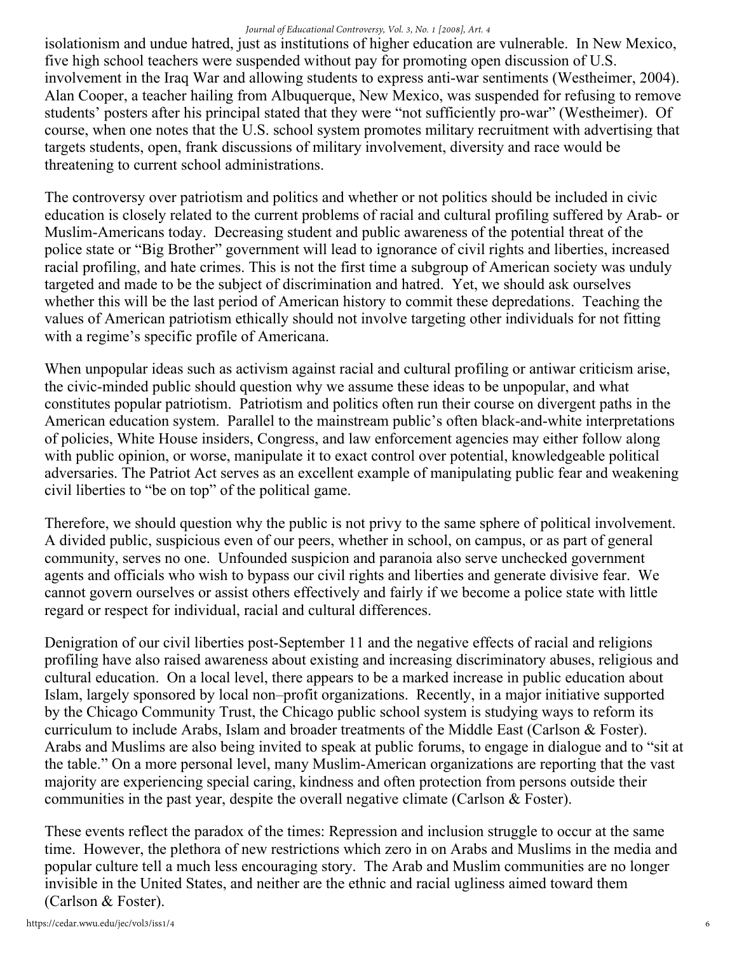#### *Journal of Educational Controversy, Vol. 3, No. 1 [2008], Art. 4*

isolationism and undue hatred, just as institutions of higher education are vulnerable. In New Mexico, five high school teachers were suspended without pay for promoting open discussion of U.S. involvement in the Iraq War and allowing students to express anti-war sentiments (Westheimer, 2004). Alan Cooper, a teacher hailing from Albuquerque, New Mexico, was suspended for refusing to remove students' posters after his principal stated that they were "not sufficiently pro-war" (Westheimer). Of course, when one notes that the U.S. school system promotes military recruitment with advertising that targets students, open, frank discussions of military involvement, diversity and race would be threatening to current school administrations.

The controversy over patriotism and politics and whether or not politics should be included in civic education is closely related to the current problems of racial and cultural profiling suffered by Arab- or Muslim-Americans today. Decreasing student and public awareness of the potential threat of the police state or "Big Brother" government will lead to ignorance of civil rights and liberties, increased racial profiling, and hate crimes. This is not the first time a subgroup of American society was unduly targeted and made to be the subject of discrimination and hatred. Yet, we should ask ourselves whether this will be the last period of American history to commit these depredations. Teaching the values of American patriotism ethically should not involve targeting other individuals for not fitting with a regime's specific profile of Americana.

When unpopular ideas such as activism against racial and cultural profiling or antiwar criticism arise, the civic-minded public should question why we assume these ideas to be unpopular, and what constitutes popular patriotism. Patriotism and politics often run their course on divergent paths in the American education system. Parallel to the mainstream public's often black-and-white interpretations of policies, White House insiders, Congress, and law enforcement agencies may either follow along with public opinion, or worse, manipulate it to exact control over potential, knowledgeable political adversaries. The Patriot Act serves as an excellent example of manipulating public fear and weakening civil liberties to "be on top" of the political game.

Therefore, we should question why the public is not privy to the same sphere of political involvement. A divided public, suspicious even of our peers, whether in school, on campus, or as part of general community, serves no one. Unfounded suspicion and paranoia also serve unchecked government agents and officials who wish to bypass our civil rights and liberties and generate divisive fear. We cannot govern ourselves or assist others effectively and fairly if we become a police state with little regard or respect for individual, racial and cultural differences.

Denigration of our civil liberties post-September 11 and the negative effects of racial and religions profiling have also raised awareness about existing and increasing discriminatory abuses, religious and cultural education. On a local level, there appears to be a marked increase in public education about Islam, largely sponsored by local non–profit organizations. Recently, in a major initiative supported by the Chicago Community Trust, the Chicago public school system is studying ways to reform its curriculum to include Arabs, Islam and broader treatments of the Middle East (Carlson & Foster). Arabs and Muslims are also being invited to speak at public forums, to engage in dialogue and to "sit at the table." On a more personal level, many Muslim-American organizations are reporting that the vast majority are experiencing special caring, kindness and often protection from persons outside their communities in the past year, despite the overall negative climate (Carlson & Foster).

These events reflect the paradox of the times: Repression and inclusion struggle to occur at the same time. However, the plethora of new restrictions which zero in on Arabs and Muslims in the media and popular culture tell a much less encouraging story. The Arab and Muslim communities are no longer invisible in the United States, and neither are the ethnic and racial ugliness aimed toward them (Carlson & Foster).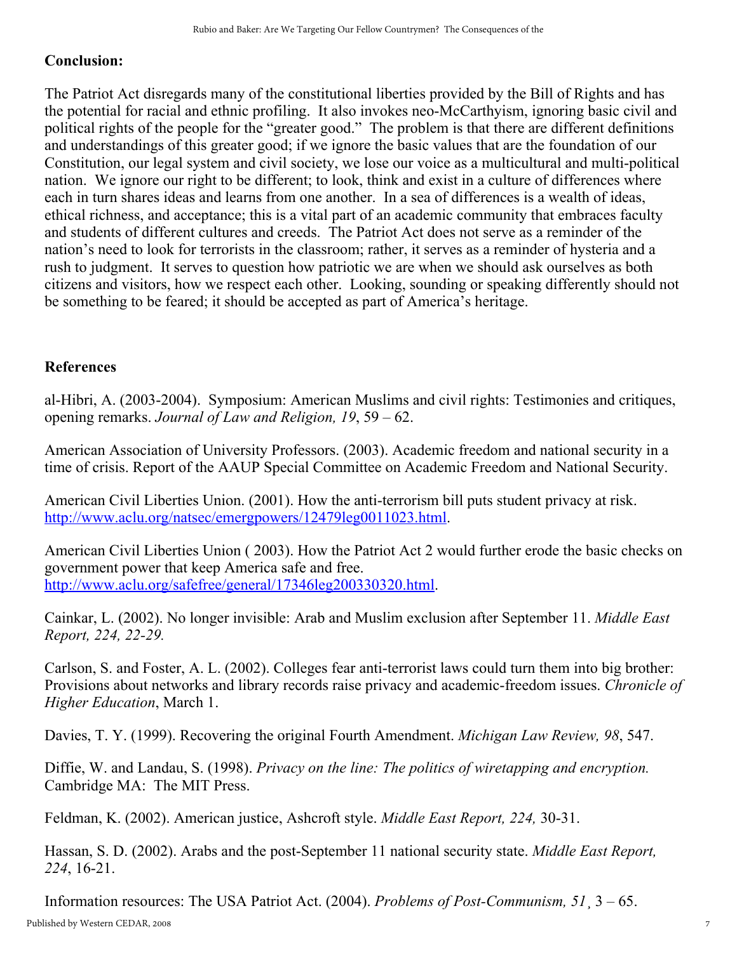### Conclusion:

The Patriot Act disregards many of the constitutional liberties provided by the Bill of Rights and has the potential for racial and ethnic profiling. It also invokes neo-McCarthyism, ignoring basic civil and political rights of the people for the "greater good." The problem is that there are different definitions and understandings of this greater good; if we ignore the basic values that are the foundation of our Constitution, our legal system and civil society, we lose our voice as a multicultural and multi-political nation. We ignore our right to be different; to look, think and exist in a culture of differences where each in turn shares ideas and learns from one another. In a sea of differences is a wealth of ideas, ethical richness, and acceptance; this is a vital part of an academic community that embraces faculty and students of different cultures and creeds. The Patriot Act does not serve as a reminder of the nation's need to look for terrorists in the classroom; rather, it serves as a reminder of hysteria and a rush to judgment. It serves to question how patriotic we are when we should ask ourselves as both citizens and visitors, how we respect each other. Looking, sounding or speaking differently should not be something to be feared; it should be accepted as part of America's heritage.

### **References**

al-Hibri, A. (2003-2004). Symposium: American Muslims and civil rights: Testimonies and critiques, opening remarks. Journal of Law and Religion, 19, 59 – 62.

American Association of University Professors. (2003). Academic freedom and national security in a time of crisis. Report of the AAUP Special Committee on Academic Freedom and National Security.

American Civil Liberties Union. (2001). How the anti-terrorism bill puts student privacy at risk. [http://www.aclu.org/natsec/emergpowers/12479leg0011023.html.](http://www.aclu.org/natsec/emergpowers/12479leg0011023.html)

American Civil Liberties Union ( 2003). How the Patriot Act 2 would further erode the basic checks on government power that keep America safe and free. <http://www.aclu.org/safefree/general/17346leg200330320.html>.

Cainkar, L. (2002). No longer invisible: Arab and Muslim exclusion after September 11. Middle East Report, 224, 22-29.

Carlson, S. and Foster, A. L. (2002). Colleges fear anti-terrorist laws could turn them into big brother: Provisions about networks and library records raise privacy and academic-freedom issues. Chronicle of Higher Education, March 1.

Davies, T. Y. (1999). Recovering the original Fourth Amendment. *Michigan Law Review*, 98, 547.

Diffie, W. and Landau, S. (1998). Privacy on the line: The politics of wiretapping and encryption. Cambridge MA: The MIT Press.

Feldman, K. (2002). American justice, Ashcroft style. *Middle East Report, 224, 30-31*.

Hassan, S. D. (2002). Arabs and the post-September 11 national security state. *Middle East Report*, 224, 1621.

Information resources: The USA Patriot Act. (2004). Problems of Post-Communism,  $51\overline{3} - 65$ .